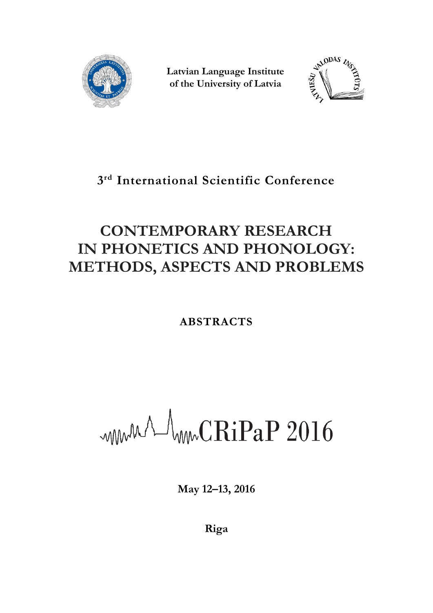

**Latvian Language Institute of the University of Latvia**



## **3 rd International Scientific Conference**

# **CONTEMPORARY RESEARCH IN PHONETICS AND PHONOLOGY: METHODS, ASPECTS AND PROBLEMS**

## **ABSTRACTS**

WWWA WWCRiPaP 2016

**May 12–13, 2016**

**Riga**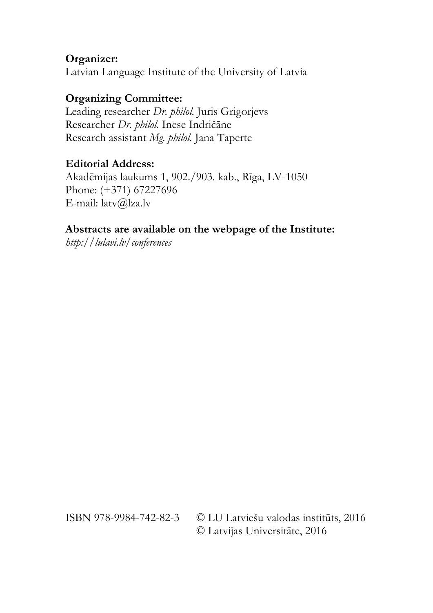## **Organizer:**

Latvian Language Institute of the University of Latvia

## **Organizing Committee:**

Leading researcher *Dr. philol.* Juris Grigorjevs Researcher *Dr. philol.* Inese Indričāne Research assistant *Mg. philol.* Jana Taperte

## **Editorial Address:**

Akadēmijas laukums 1, 902./903. kab., Rīga, LV-1050 Phone: (+371) 67227696 E-mail: latv@lza.lv

## **Abstracts are available on the webpage of the Institute:**

*http://lulavi.lv/conferences*

ISBN 978-9984-742-82-3 © LU Latviešu valodas institūts, 2016 © Latvijas Universitāte, 2016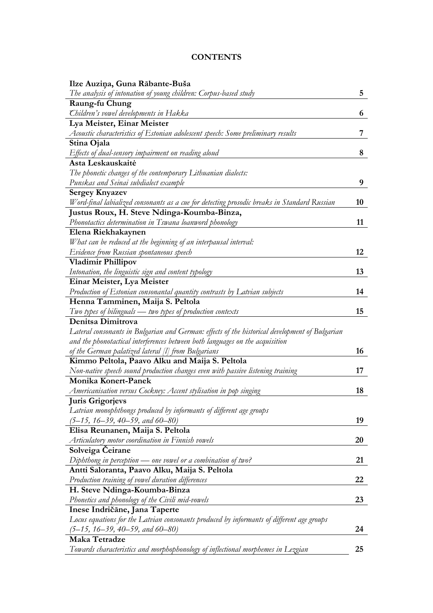## **CONTENTS**

| Ilze Auziņa, Guna Rābante-Buša                                                                 |    |
|------------------------------------------------------------------------------------------------|----|
| The analysis of intonation of young children: Corpus-based study                               | 5  |
| Raung-fu Chung                                                                                 |    |
| Children's vowel developments in Hakka                                                         | 6  |
| Lya Meister, Einar Meister                                                                     |    |
| Acoustic characteristics of Estonian adolescent speech: Some preliminary results               | 7  |
| Stina Ojala                                                                                    |    |
| Effects of dual-sensory impairment on reading aloud                                            | 8  |
| Asta Leskauskaitė                                                                              |    |
| The phonetic changes of the contemporary Lithuanian dialects:                                  |    |
| Punskas and Seinai subdialect example                                                          | 9  |
| <b>Sergey Knyazev</b>                                                                          |    |
| Word-final labialized consonants as a cue for detecting prosodic breaks in Standard Russian    | 10 |
| Justus Roux, H. Steve Ndinga-Koumba-Binza,                                                     |    |
| Phonotactics determination in Tswana loanword phonology                                        | 11 |
| Elena Riekhakaynen                                                                             |    |
| What can be reduced at the beginning of an interpausal interval:                               |    |
| Evidence from Russian spontaneous speech                                                       | 12 |
| Vladimir Phillipov                                                                             |    |
| Intonation, the linguistic sign and content typology                                           | 13 |
| Einar Meister, Lya Meister                                                                     |    |
| Production of Estonian consonantal quantity contrasts by Latvian subjects                      | 14 |
| Henna Tamminen, Maija S. Peltola                                                               |    |
| Two types of bilinguals - two types of production contexts                                     | 15 |
| Denitsa Dimitrova                                                                              |    |
| Lateral consonants in Bulgarian and German: effects of the historical development of Bulgarian |    |
| and the phonotactical interferences between both languages on the acquisition                  |    |
| of the German palatized lateral $ I $ from Bulgarians                                          | 16 |
| Kimmo Peltola, Paavo Alku and Maija S. Peltola                                                 |    |
| Non-native speech sound production changes even with passive listening training                | 17 |
| Monika Konert-Panek                                                                            |    |
| Americanisation versus Cockney: Accent stylisation in pop singing                              | 18 |
| <b>Juris Grigorjevs</b>                                                                        |    |
| Latvian monophthongs produced by informants of different age groups                            |    |
| $(5-15, 16-39, 40-59, and 60-80)$                                                              | 19 |
| Elisa Reunanen, Maija S. Peltola                                                               |    |
| Articulatory motor coordination in Finnish vowels                                              | 20 |
| Solveiga Ceirane                                                                               |    |
| Diphthong in perception $\rightharpoonup$ one vowel or a combination of two?                   | 21 |
| Antti Saloranta, Paavo Alku, Maija S. Peltola                                                  |    |
| Production training of vowel duration differences                                              | 22 |
| H. Steve Ndinga-Koumba-Binza                                                                   |    |
| Phonetics and phonology of the Civili mid-vowels                                               | 23 |
| Inese Indričāne, Jana Taperte                                                                  |    |
| Locus equations for the Latvian consonants produced by informants of different age groups      |    |
| $(5-15, 16-39, 40-59, and 60-80)$                                                              | 24 |
| Maka Tetradze                                                                                  |    |
| Towards characteristics and morphophonology of inflectional morphemes in Lezgian               | 25 |
|                                                                                                |    |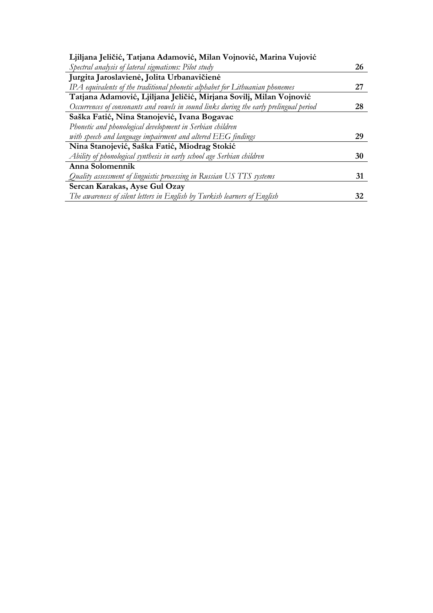| Ljiljana Jeličić, Tatjana Adamović, Milan Vojnović, Marina Vujović                     |    |
|----------------------------------------------------------------------------------------|----|
| Spectral analysis of lateral sigmatisms: Pilot study                                   | 26 |
| Jurgita Jaroslavienė, Jolita Urbanavičienė                                             |    |
| IPA equivalents of the traditional phonetic alphabet for Lithuanian phonemes           | 27 |
| Tatjana Adamović, Ljiljana Jeličić, Mirjana Sovilj, Milan Vojnović                     |    |
| Occurrences of consonants and vowels in sound links during the early prelingual period | 28 |
| Saška Fatić, Nina Stanojević, Ivana Bogavac                                            |    |
| Phonetic and phonological development in Serbian children                              |    |
| with speech and language impairment and altered EEG findings                           | 29 |
| Nina Stanojević, Saška Fatić, Miodrag Stokić                                           |    |
| Ability of phonological synthesis in early school age Serbian children                 | 30 |
| Anna Solomennik                                                                        |    |
| Quality assessment of linguistic processing in Russian US TTS systems                  | 31 |
| Sercan Karakas, Ayse Gul Ozay                                                          |    |
| The awareness of silent letters in English by Turkish learners of English              | 32 |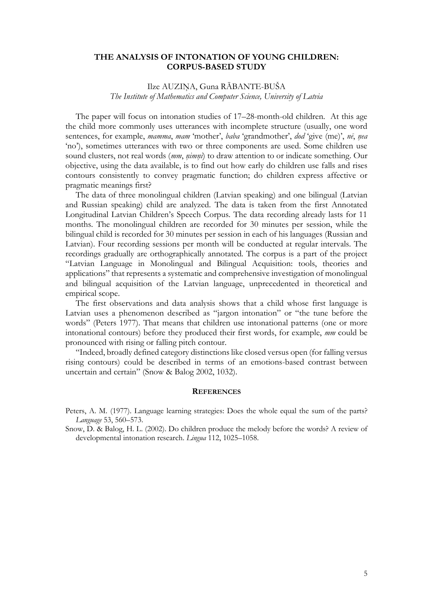#### **THE ANALYSIS OF INTONATION OF YOUNG CHILDREN: CORPUS-BASED STUDY**

## Ilze AUZIŅA, Guna RĀBANTE-BUŠA *The Institute of Mathematics and Computer Science, University of Latvia*

The paper will focus on intonation studies of 17–28-month-old children. At this age the child more commonly uses utterances with incomplete structure (usually, one word sentences, for example, *mamma*, *mam* 'mother', *baba* 'grandmother', *dod* 'give (me)', *nē*, *ņea* 'no'), sometimes utterances with two or three components are used. Some children use sound clusters, not real words (*mm*, *ņimņi*) to draw attention to or indicate something. Our objective, using the data available, is to find out how early do children use falls and rises contours consistently to convey pragmatic function; do children express affective or pragmatic meanings first?

The data of three monolingual children (Latvian speaking) and one bilingual (Latvian and Russian speaking) child are analyzed. The data is taken from the first Annotated Longitudinal Latvian Children's Speech Corpus. The data recording already lasts for 11 months. The monolingual children are recorded for 30 minutes per session, while the bilingual child is recorded for 30 minutes per session in each of his languages (Russian and Latvian). Four recording sessions per month will be conducted at regular intervals. The recordings gradually are orthographically annotated. The corpus is a part of the project "Latvian Language in Monolingual and Bilingual Acquisition: tools, theories and applications" that represents a systematic and comprehensive investigation of monolingual and bilingual acquisition of the Latvian language, unprecedented in theoretical and empirical scope.

The first observations and data analysis shows that a child whose first language is Latvian uses a phenomenon described as "jargon intonation" or "the tune before the words" (Peters 1977). That means that children use intonational patterns (one or more intonational contours) before they produced their first words, for example, *mm* could be pronounced with rising or falling pitch contour.

"Indeed, broadly defined category distinctions like closed versus open (for falling versus rising contours) could be described in terms of an emotions-based contrast between uncertain and certain" (Snow & Balog 2002, 1032).

#### **REFERENCES**

Peters, A. M. (1977). Language learning strategies: Does the whole equal the sum of the parts? *Language* 53, 560–573.

Snow, D. & Balog, H. L. (2002). Do children produce the melody before the words? A review of developmental intonation research. *Lingua* 112, 1025–1058.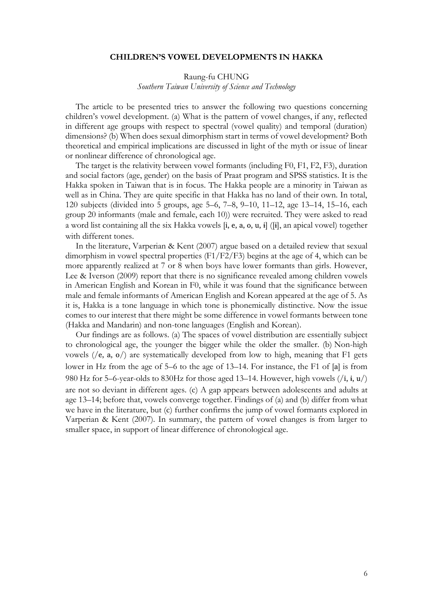#### **CHILDREN'S VOWEL DEVELOPMENTS IN HAKKA**

## Raung-fu CHUNG *Southern Taiwan University of Science and Technology*

The article to be presented tries to answer the following two questions concerning children's vowel development. (a) What is the pattern of vowel changes, if any, reflected in different age groups with respect to spectral (vowel quality) and temporal (duration) dimensions? (b) When does sexual dimorphism start in terms of vowel development? Both theoretical and empirical implications are discussed in light of the myth or issue of linear or nonlinear difference of chronological age.

The target is the relativity between vowel formants (including F0, F1, F2, F3), duration and social factors (age, gender) on the basis of Praat program and SPSS statistics. It is the Hakka spoken in Taiwan that is in focus. The Hakka people are a minority in Taiwan as well as in China. They are quite specific in that Hakka has no land of their own. In total, 120 subjects (divided into 5 groups, age 5–6, 7–8, 9–10, 11–12, age 13–14, 15–16, each group 20 informants (male and female, each 10)) were recruited. They were asked to read a word list containing all the six Hakka vowels [i, e, a, o, u, ɨ] ([ɨ], an apical vowel) together with different tones.

In the literature, Varperian & Kent (2007) argue based on a detailed review that sexual dimorphism in vowel spectral properties  $(F1/F2/F3)$  begins at the age of 4, which can be more apparently realized at 7 or 8 when boys have lower formants than girls. However, Lee & Iverson (2009) report that there is no significance revealed among children vowels in American English and Korean in F0, while it was found that the significance between male and female informants of American English and Korean appeared at the age of 5. As it is, Hakka is a tone language in which tone is phonemically distinctive. Now the issue comes to our interest that there might be some difference in vowel formants between tone (Hakka and Mandarin) and non-tone languages (English and Korean).

Our findings are as follows. (a) The spaces of vowel distribution are essentially subject to chronological age, the younger the bigger while the older the smaller. (b) Non-high vowels (/e, a, o/) are systematically developed from low to high, meaning that F1 gets lower in Hz from the age of 5–6 to the age of 13–14. For instance, the F1 of [a] is from 980 Hz for 5–6-year-olds to 830Hz for those aged 13–14. However, high vowels  $(i, i, u)$ are not so deviant in different ages. (c) A gap appears between adolescents and adults at age 13–14; before that, vowels converge together. Findings of (a) and (b) differ from what we have in the literature, but (c) further confirms the jump of vowel formants explored in Varperian & Kent (2007). In summary, the pattern of vowel changes is from larger to smaller space, in support of linear difference of chronological age.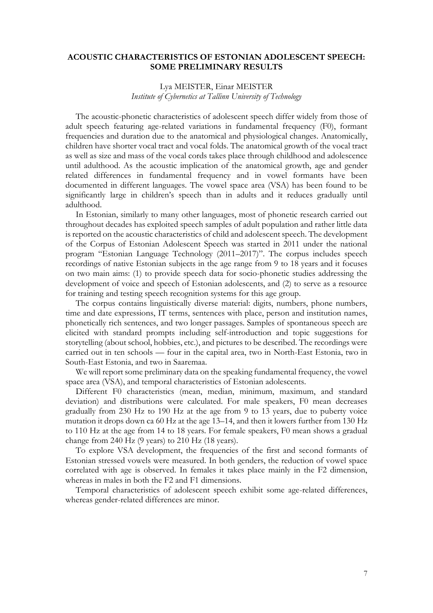#### **ACOUSTIC CHARACTERISTICS OF ESTONIAN ADOLESCENT SPEECH: SOME PRELIMINARY RESULTS**

### Lya MEISTER, Einar MEISTER *Institute of Cybernetics at Tallinn University of Technology*

The acoustic-phonetic characteristics of adolescent speech differ widely from those of adult speech featuring age-related variations in fundamental frequency (F0), formant frequencies and duration due to the anatomical and physiological changes. Anatomically, children have shorter vocal tract and vocal folds. The anatomical growth of the vocal tract as well as size and mass of the vocal cords takes place through childhood and adolescence until adulthood. As the acoustic implication of the anatomical growth, age and gender related differences in fundamental frequency and in vowel formants have been documented in different languages. The vowel space area (VSA) has been found to be significantly large in children's speech than in adults and it reduces gradually until adulthood.

In Estonian, similarly to many other languages, most of phonetic research carried out throughout decades has exploited speech samples of adult population and rather little data is reported on the acoustic characteristics of child and adolescent speech. The development of the Corpus of Estonian Adolescent Speech was started in 2011 under the national program "Estonian Language Technology (2011–2017)". The corpus includes speech recordings of native Estonian subjects in the age range from 9 to 18 years and it focuses on two main aims: (1) to provide speech data for socio-phonetic studies addressing the development of voice and speech of Estonian adolescents, and (2) to serve as a resource for training and testing speech recognition systems for this age group.

The corpus contains linguistically diverse material: digits, numbers, phone numbers, time and date expressions, IT terms, sentences with place, person and institution names, phonetically rich sentences, and two longer passages. Samples of spontaneous speech are elicited with standard prompts including self-introduction and topic suggestions for storytelling (about school, hobbies, etc.), and pictures to be described. The recordings were carried out in ten schools — four in the capital area, two in North-East Estonia, two in South-East Estonia, and two in Saaremaa.

We will report some preliminary data on the speaking fundamental frequency, the vowel space area (VSA), and temporal characteristics of Estonian adolescents.

Different F0 characteristics (mean, median, minimum, maximum, and standard deviation) and distributions were calculated. For male speakers, F0 mean decreases gradually from 230 Hz to 190 Hz at the age from 9 to 13 years, due to puberty voice mutation it drops down ca 60 Hz at the age 13–14, and then it lowers further from 130 Hz to 110 Hz at the age from 14 to 18 years. For female speakers, F0 mean shows a gradual change from 240 Hz (9 years) to 210 Hz (18 years).

To explore VSA development, the frequencies of the first and second formants of Estonian stressed vowels were measured. In both genders, the reduction of vowel space correlated with age is observed. In females it takes place mainly in the F2 dimension, whereas in males in both the F2 and F1 dimensions.

Temporal characteristics of adolescent speech exhibit some age-related differences, whereas gender-related differences are minor.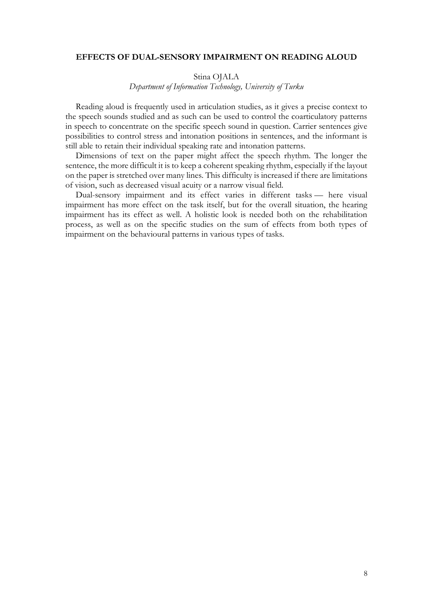#### **EFFECTS OF DUAL-SENSORY IMPAIRMENT ON READING ALOUD**

#### Stina OJALA

*Department of Information Technology, University of Turku*

Reading aloud is frequently used in articulation studies, as it gives a precise context to the speech sounds studied and as such can be used to control the coarticulatory patterns in speech to concentrate on the specific speech sound in question. Carrier sentences give possibilities to control stress and intonation positions in sentences, and the informant is still able to retain their individual speaking rate and intonation patterns.

Dimensions of text on the paper might affect the speech rhythm. The longer the sentence, the more difficult it is to keep a coherent speaking rhythm, especially if the layout on the paper is stretched over many lines. This difficulty is increased if there are limitations of vision, such as decreased visual acuity or a narrow visual field.

Dual-sensory impairment and its effect varies in different tasks — here visual impairment has more effect on the task itself, but for the overall situation, the hearing impairment has its effect as well. A holistic look is needed both on the rehabilitation process, as well as on the specific studies on the sum of effects from both types of impairment on the behavioural patterns in various types of tasks.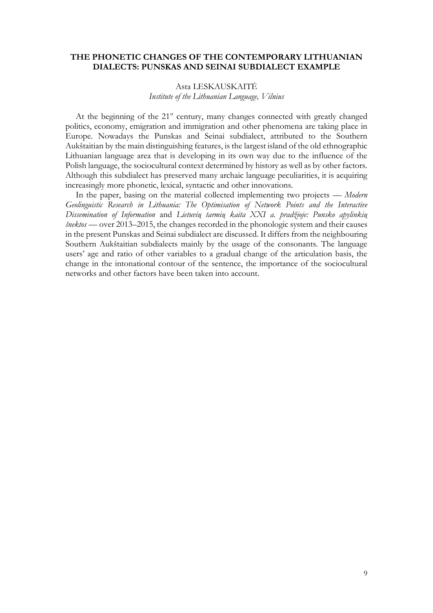### **THE PHONETIC CHANGES OF THE CONTEMPORARY LITHUANIAN DIALECTS: PUNSKAS AND SEINAI SUBDIALECT EXAMPLE**

#### Asta LESKAUSKAITĖ *Institute of the Lithuanian Language, Vilnius*

At the beginning of the 21<sup>st</sup> century, many changes connected with greatly changed politics, economy, emigration and immigration and other phenomena are taking place in Europe. Nowadays the Punskas and Seinai subdialect, attributed to the Southern Aukštaitian by the main distinguishing features, is the largest island of the old ethnographic Lithuanian language area that is developing in its own way due to the influence of the Polish language, the sociocultural context determined by history as well as by other factors. Although this subdialect has preserved many archaic language peculiarities, it is acquiring increasingly more phonetic, lexical, syntactic and other innovations.

In the paper, basing on the material collected implementing two projects — *Modern Geolinguistic Research in Lithuania: The Optimisation of Network Points and the Interactive Dissemination of Information* and *Lietuvių tarmių kaita XXI a. pradžioje: Punsko apylinkių šnektos* — over 2013–2015, the changes recorded in the phonologic system and their causes in the present Punskas and Seinai subdialect are discussed. It differs from the neighbouring Southern Aukštaitian subdialects mainly by the usage of the consonants. The language users' age and ratio of other variables to a gradual change of the articulation basis, the change in the intonational contour of the sentence, the importance of the sociocultural networks and other factors have been taken into account.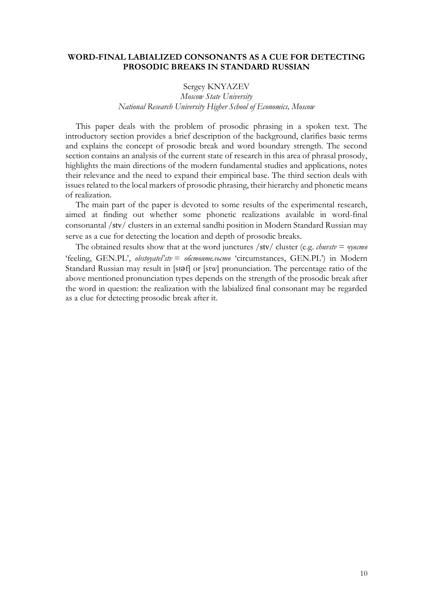### **WORD-FINAL LABIALIZED CONSONANTS AS A CUE FOR DETECTING PROSODIC BREAKS IN STANDARD RUSSIAN**

### Sergey KNYAZEV *Moscow State University National Research University Higher School of Economics, Moscow*

This paper deals with the problem of prosodic phrasing in a spoken text. The introductory section provides a brief description of the background, clarifies basic terms and explains the concept of prosodic break and word boundary strength. The second section contains an analysis of the current state of research in this area of phrasal prosody, highlights the main directions of the modern fundamental studies and applications, notes their relevance and the need to expand their empirical base. The third section deals with issues related to the local markers of prosodic phrasing, their hierarchy and phonetic means of realization.

The main part of the paper is devoted to some results of the experimental research, aimed at finding out whether some phonetic realizations available in word-final consonantal /stv/ clusters in an external sandhi position in Modern Standard Russian may serve as a cue for detecting the location and depth of prosodic breaks.

The obtained results show that at the word junctures /stv/ cluster (e.g. *chuvstv* = *чувств* 'feeling, GEN.PL', *obstoyatel'stv* = *обстоятельств* 'circumstances, GEN.PL') in Modern Standard Russian may result in [stǝf] or [stw] pronunciation. The percentage ratio of the above mentioned pronunciation types depends on the strength of the prosodic break after the word in question: the realization with the labialized final consonant may be regarded as a clue for detecting prosodic break after it.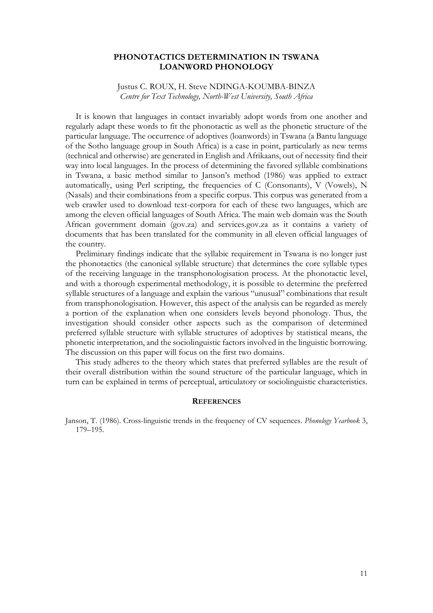#### **PHONOTACTICS DETERMINATION IN TSWANA LOANWORD PHONOLOGY**

Justus C. ROUX, H. Steve NDINGA-KOUMBA-BINZA *Centre for Text Technology, North-West University, South Africa*

It is known that languages in contact invariably adopt words from one another and regularly adapt these words to fit the phonotactic as well as the phonetic structure of the particular language. The occurrence of adoptives (loanwords) in Tswana (a Bantu language of the Sotho language group in South Africa) is a case in point, particularly as new terms (technical and otherwise) are generated in English and Afrikaans, out of necessity find their way into local languages. In the process of determining the favored syllable combinations in Tswana, a basic method similar to Janson's method (1986) was applied to extract automatically, using Perl scripting, the frequencies of C (Consonants), V (Vowels), N (Nasals) and their combinations from a specific corpus. This corpus was generated from a web crawler used to download text-corpora for each of these two languages, which are among the eleven official languages of South Africa. The main web domain was the South African government domain (gov.za) and services.gov.za as it contains a variety of documents that has been translated for the community in all eleven official languages of the country.

Preliminary findings indicate that the syllabic requirement in Tswana is no longer just the phonotactics (the canonical syllable structure) that determines the core syllable types of the receiving language in the transphonologisation process. At the phonotactic level, and with a thorough experimental methodology, it is possible to determine the preferred syllable structures of a language and explain the various "unusual" combinations that result from transphonologisation. However, this aspect of the analysis can be regarded as merely a portion of the explanation when one considers levels beyond phonology. Thus, the investigation should consider other aspects such as the comparison of determined preferred syllable structure with syllable structures of adoptives by statistical means, the phonetic interpretation, and the sociolinguistic factors involved in the linguistic borrowing. The discussion on this paper will focus on the first two domains.

This study adheres to the theory which states that preferred syllables are the result of their overall distribution within the sound structure of the particular language, which in turn can be explained in terms of perceptual, articulatory or sociolinguistic characteristics.

#### **REFERENCES**

Janson, T. (1986). Cross-linguistic trends in the frequency of CV sequences. *Phonology Yearbook* 3, 179–195.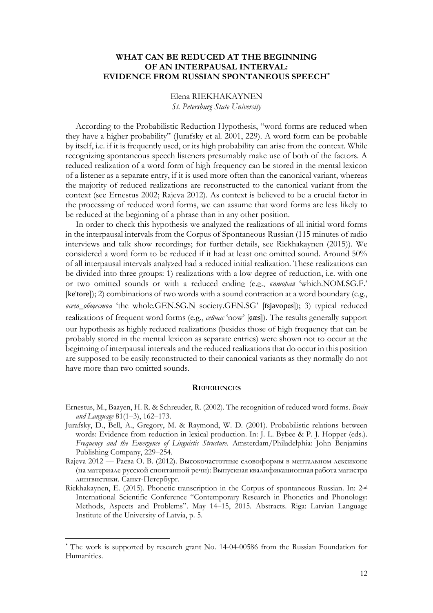## **WHAT CAN BE REDUCED AT THE BEGINNING OF AN INTERPAUSAL INTERVAL: EVIDENCE FROM RUSSIAN SPONTANEOUS SPEECH\***

## Elena RIEKHAKAYNEN *St. Petersburg State University*

According to the Probabilistic Reduction Hypothesis, "word forms are reduced when they have a higher probability" (Jurafsky et al. 2001, 229). A word form can be probable by itself, i.e. if it is frequently used, or its high probability can arise from the context. While recognizing spontaneous speech listeners presumably make use of both of the factors. A reduced realization of a word form of high frequency can be stored in the mental lexicon of a listener as a separate entry, if it is used more often than the canonical variant, whereas the majority of reduced realizations are reconstructed to the canonical variant from the context (see Ernestus 2002; Rajeva 2012). As context is believed to be a crucial factor in the processing of reduced word forms, we can assume that word forms are less likely to be reduced at the beginning of a phrase than in any other position.

In order to check this hypothesis we analyzed the realizations of all initial word forms in the interpausal intervals from the Corpus of Spontaneous Russian (115 minutes of radio interviews and talk show recordings; for further details, see Riekhakaynen (2015)). We considered a word form to be reduced if it had at least one omitted sound. Around 50% of all interpausal intervals analyzed had a reduced initial realization. These realizations can be divided into three groups: 1) realizations with a low degree of reduction, i.e. with one or two omitted sounds or with a reduced ending (e.g., *которая* 'which.NOM.SG.F.' [ke'tore]); 2) combinations of two words with a sound contraction at a word boundary (e.g., *всего*\_*общества* 'the whole.GEN.SG.N society.GEN.SG' [fsjəvopɕs]); 3) typical reduced realizations of frequent word forms (e.g., *сейчас* 'now' [ɕæs]). The results generally support our hypothesis as highly reduced realizations (besides those of high frequency that can be probably stored in the mental lexicon as separate entries) were shown not to occur at the beginning of interpausal intervals and the reduced realizations that do occur in this position are supposed to be easily reconstructed to their canonical variants as they normally do not have more than two omitted sounds.

#### **REFERENCES**

- Ernestus, М., Baayen, H. R. & Schreuder, R. (2002). The recognition of reduced word forms. *Brain and Language* 81(1–3), 162–173.
- Jurafsky, D., Bell, A., Gregory, M. & Raymond, W. D. (2001). Probabilistic relations between words: Evidence from reduction in lexical production. In: J. L. Bybee & P. J. Hopper (eds.). *Frequency and the Emergence of Linguistic Structure.* Amsterdam/Philadelphia: John Benjamins Publishing Company, 229–254.
- Rajeva 2012 Раева О. В. (2012). Высокочастотные словоформы в ментальном лексиконе (на материале русской спонтанной речи): Выпускная квалификационная работа магистра лингвистики. Санкт-Петербург.
- Riekhakaynen, E. (2015). Phonetic transcription in the Corpus of spontaneous Russian. In: 2nd International Scientific Conference "Contemporary Research in Phonetics and Phonology: Methods, Aspects and Problems". May 14–15, 2015. Abstracts. Riga: Latvian Language Institute of the University of Latvia, p. 5.

**.** 

<sup>\*</sup> The work is supported by research grant No. 14-04-00586 from the Russian Foundation for Humanities.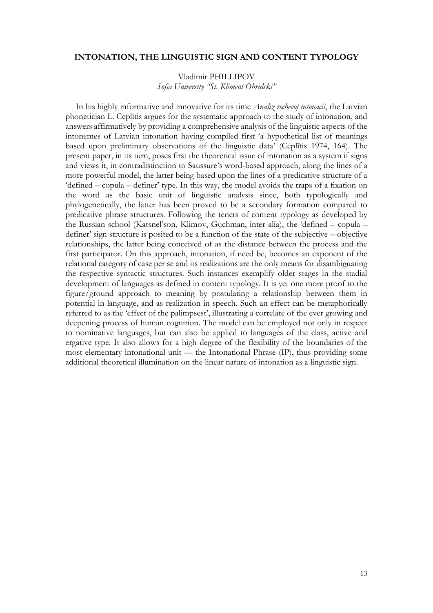#### **INTONATION, THE LINGUISTIC SIGN AND CONTENT TYPOLOGY**

Vladimir PHILLIPOV

*Sofia University "St. Kliment Ohridski"*

In his highly informative and innovative for its time *Analiz rechevoj intonacii*, the Latvian phonetician L. Ceplītis argues for the systematic approach to the study of intonation, and answers affirmatively by providing a comprehensive analysis of the linguistic aspects of the intonemes of Latvian intonation having compiled first 'a hypothetical list of meanings based upon preliminary observations of the linguistic data' (Ceplītis 1974, 164). The present paper, in its turn, poses first the theoretical issue of intonation as a system if signs and views it, in contradistinction to Saussure's word-based approach, along the lines of a more powerful model, the latter being based upon the lines of a predicative structure of a 'defined – copula – definer' type. In this way, the model avoids the traps of a fixation on the word as the basic unit of linguistic analysis since, both typologically and phylogenetically, the latter has been proved to be a secondary formation compared to predicative phrase structures. Following the tenets of content typology as developed by the Russian school (Katsnel'son, Klimov, Guchman, inter alia), the 'defined – copula – definer' sign structure is posited to be a function of the state of the subjective – objective relationships, the latter being conceived of as the distance between the process and the first participator. On this approach, intonation, if need be, becomes an exponent of the relational category of case per se and its realizations are the only means for disambiguating the respective syntactic structures. Such instances exemplify older stages in the stadial development of languages as defined in content typology. It is yet one more proof to the figure/ground approach to meaning by postulating a relationship between them in potential in language, and as realization in speech. Such an effect can be metaphorically referred to as the 'effect of the palimpsest', illustrating a correlate of the ever growing and deepening process of human cognition. The model can be employed not only in respect to nominative languages, but can also be applied to languages of the class, active and ergative type. It also allows for a high degree of the flexibility of the boundaries of the most elementary intonational unit — the Intonational Phrase (IP), thus providing some additional theoretical illumination on the linear nature of intonation as a linguistic sign.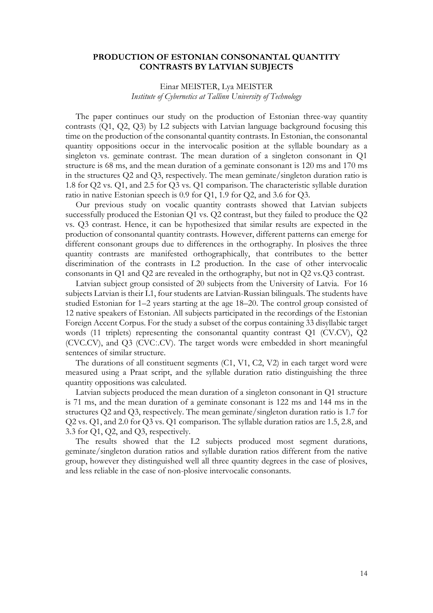#### **PRODUCTION OF ESTONIAN CONSONANTAL QUANTITY CONTRASTS BY LATVIAN SUBJECTS**

## Einar MEISTER, Lya MEISTER *Institute of Cybernetics at Tallinn University of Technology*

The paper continues our study on the production of Estonian three-way quantity contrasts (Q1, Q2, Q3) by L2 subjects with Latvian language background focusing this time on the production of the consonantal quantity contrasts. In Estonian, the consonantal quantity oppositions occur in the intervocalic position at the syllable boundary as a singleton vs. geminate contrast. The mean duration of a singleton consonant in Q1 structure is 68 ms, and the mean duration of a geminate consonant is 120 ms and 170 ms in the structures Q2 and Q3, respectively. The mean geminate/singleton duration ratio is 1.8 for Q2 vs. Q1, and 2.5 for Q3 vs. Q1 comparison. The characteristic syllable duration ratio in native Estonian speech is 0.9 for Q1, 1.9 for Q2, and 3.6 for Q3.

Our previous study on vocalic quantity contrasts showed that Latvian subjects successfully produced the Estonian Q1 vs. Q2 contrast, but they failed to produce the Q2 vs. Q3 contrast. Hence, it can be hypothesized that similar results are expected in the production of consonantal quantity contrasts. However, different patterns can emerge for different consonant groups due to differences in the orthography. In plosives the three quantity contrasts are manifested orthographically, that contributes to the better discrimination of the contrasts in L2 production. In the case of other intervocalic consonants in Q1 and Q2 are revealed in the orthography, but not in Q2 vs.Q3 contrast.

Latvian subject group consisted of 20 subjects from the University of Latvia. For 16 subjects Latvian is their L1, four students are Latvian-Russian bilinguals. The students have studied Estonian for 1–2 years starting at the age 18–20. The control group consisted of 12 native speakers of Estonian. All subjects participated in the recordings of the Estonian Foreign Accent Corpus. For the study a subset of the corpus containing 33 disyllabic target words (11 triplets) representing the consonantal quantity contrast Q1 (CV.CV), Q2 (CVC.CV), and Q3 (CVCː.CV). The target words were embedded in short meaningful sentences of similar structure.

The durations of all constituent segments (C1, V1, C2, V2) in each target word were measured using a Praat script, and the syllable duration ratio distinguishing the three quantity oppositions was calculated.

Latvian subjects produced the mean duration of a singleton consonant in Q1 structure is 71 ms, and the mean duration of a geminate consonant is 122 ms and 144 ms in the structures Q2 and Q3, respectively. The mean geminate/singleton duration ratio is 1.7 for Q2 vs. Q1, and 2.0 for Q3 vs. Q1 comparison. The syllable duration ratios are 1.5, 2.8, and 3.3 for Q1, Q2, and Q3, respectively.

The results showed that the L2 subjects produced most segment durations, geminate/singleton duration ratios and syllable duration ratios different from the native group, however they distinguished well all three quantity degrees in the case of plosives, and less reliable in the case of non-plosive intervocalic consonants.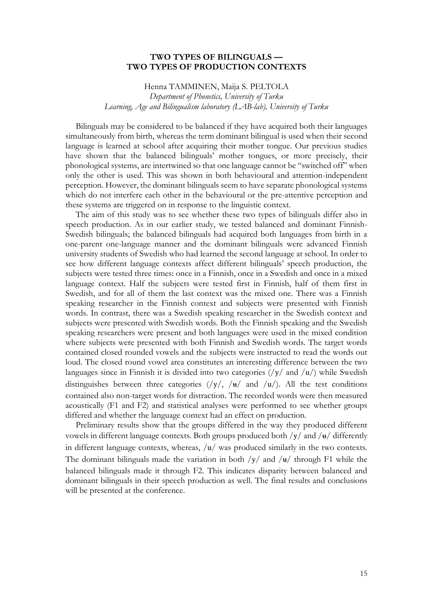#### **TWO TYPES OF BILINGUALS — TWO TYPES OF PRODUCTION CONTEXTS**

Henna TAMMINEN, Maija S. PELTOLA *Department of Phonetics, University of Turku Learning, Age and Bilingualism laboratory (LAB-lab), University of Turku*

Bilinguals may be considered to be balanced if they have acquired both their languages simultaneously from birth, whereas the term dominant bilingual is used when their second language is learned at school after acquiring their mother tongue. Our previous studies have shown that the balanced bilinguals' mother tongues, or more precisely, their phonological systems, are intertwined so that one language cannot be "switched off" when only the other is used. This was shown in both behavioural and attention-independent perception. However, the dominant bilinguals seem to have separate phonological systems which do not interfere each other in the behavioural or the pre-attentive perception and these systems are triggered on in response to the linguistic context.

The aim of this study was to see whether these two types of bilinguals differ also in speech production. As in our earlier study, we tested balanced and dominant Finnish-Swedish bilinguals; the balanced bilinguals had acquired both languages from birth in a one-parent one-language manner and the dominant bilinguals were advanced Finnish university students of Swedish who had learned the second language at school. In order to see how different language contexts affect different bilinguals' speech production, the subjects were tested three times: once in a Finnish, once in a Swedish and once in a mixed language context. Half the subjects were tested first in Finnish, half of them first in Swedish, and for all of them the last context was the mixed one. There was a Finnish speaking researcher in the Finnish context and subjects were presented with Finnish words. In contrast, there was a Swedish speaking researcher in the Swedish context and subjects were presented with Swedish words. Both the Finnish speaking and the Swedish speaking researchers were present and both languages were used in the mixed condition where subjects were presented with both Finnish and Swedish words. The target words contained closed rounded vowels and the subjects were instructed to read the words out loud. The closed round vowel area constitutes an interesting difference between the two languages since in Finnish it is divided into two categories  $(yy /$  and  $/u$ ) while Swedish distinguishes between three categories  $(y/$ ,  $/\mathbf{u}$  and  $/u$ ). All the test conditions contained also non-target words for distraction. The recorded words were then measured acoustically (F1 and F2) and statistical analyses were performed to see whether groups differed and whether the language context had an effect on production.

Preliminary results show that the groups differed in the way they produced different vowels in different language contexts. Both groups produced both  $/y/$  and  $/$  $\frac{1}{4}$  differently in different language contexts, whereas, /u/ was produced similarly in the two contexts. The dominant bilinguals made the variation in both  $/y/$  and  $/$ <del>u</del> $/$  through F1 while the balanced bilinguals made it through F2. This indicates disparity between balanced and dominant bilinguals in their speech production as well. The final results and conclusions will be presented at the conference.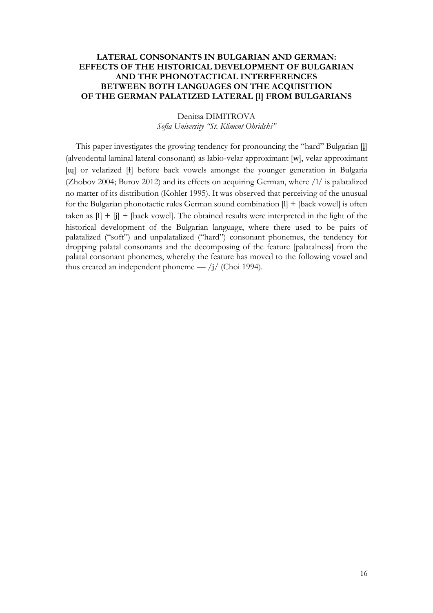## **LATERAL CONSONANTS IN BULGARIAN AND GERMAN: EFFECTS OF THE HISTORICAL DEVELOPMENT OF BULGARIAN AND THE PHONOTACTICAL INTERFERENCES BETWEEN BOTH LANGUAGES ON THE ACQUISITION OF THE GERMAN PALATIZED LATERAL [l] FROM BULGARIANS**

## Denitsa DIMITROVA *Sofia University "St. Kliment Ohridski"*

This paper investigates the growing tendency for pronouncing the "hard" Bulgarian [l̥] (alveodental laminal lateral consonant) as labio-velar approximant [w], velar approximant [ɰ] or velarized [ɫ] before back vowels amongst the younger generation in Bulgaria (Zhobov 2004; Burov 2012) and its effects on acquiring German, where /l/ is palatalized no matter of its distribution (Kohler 1995). It was observed that perceiving of the unusual for the Bulgarian phonotactic rules German sound combination [l] + [back vowel] is often taken as  $[1] + [j] +$  [back vowel]. The obtained results were interpreted in the light of the historical development of the Bulgarian language, where there used to be pairs of palatalized ("soft") and unpalatalized ("hard") consonant phonemes, the tendency for dropping palatal consonants and the decomposing of the feature [palatalness] from the palatal consonant phonemes, whereby the feature has moved to the following vowel and thus created an independent phoneme —  $\frac{1}{\sqrt{2}}$  (Choi 1994).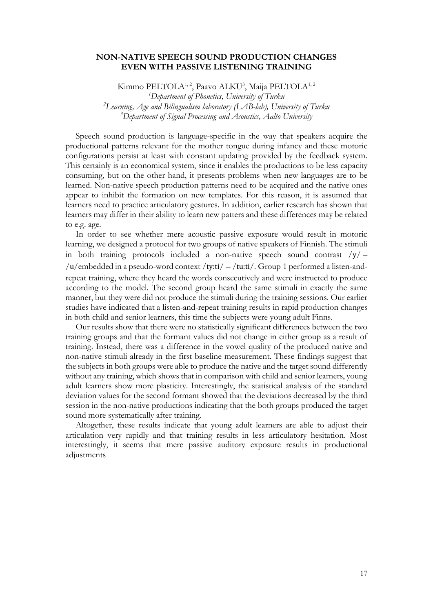### **NON-NATIVE SPEECH SOUND PRODUCTION CHANGES EVEN WITH PASSIVE LISTENING TRAINING**

Kimmo PELTOLA<sup>1,2</sup>, Paavo ALKU<sup>3</sup>, Maija PELTOLA<sup>1,2</sup> *Department of Phonetics, University of Turku Learning, Age and Bilingualism laboratory (LAB-lab), University of Turku Department of Signal Processing and Acoustics, Aalto University*

Speech sound production is language-specific in the way that speakers acquire the productional patterns relevant for the mother tongue during infancy and these motoric configurations persist at least with constant updating provided by the feedback system. This certainly is an economical system, since it enables the productions to be less capacity consuming, but on the other hand, it presents problems when new languages are to be learned. Non-native speech production patterns need to be acquired and the native ones appear to inhibit the formation on new templates. For this reason, it is assumed that learners need to practice articulatory gestures. In addition, earlier research has shown that learners may differ in their ability to learn new patters and these differences may be related to e.g. age.

In order to see whether mere acoustic passive exposure would result in motoric learning, we designed a protocol for two groups of native speakers of Finnish. The stimuli in both training protocols included a non-native speech sound contrast  $/y / -$ / $\mu$ /embedded in a pseudo-word context /ty:ti/ – /t $\mu$ :ti/. Group 1 performed a listen-andrepeat training, where they heard the words consecutively and were instructed to produce according to the model. The second group heard the same stimuli in exactly the same manner, but they were did not produce the stimuli during the training sessions. Our earlier studies have indicated that a listen-and-repeat training results in rapid production changes in both child and senior learners, this time the subjects were young adult Finns.

Our results show that there were no statistically significant differences between the two training groups and that the formant values did not change in either group as a result of training. Instead, there was a difference in the vowel quality of the produced native and non-native stimuli already in the first baseline measurement. These findings suggest that the subjects in both groups were able to produce the native and the target sound differently without any training, which shows that in comparison with child and senior learners, young adult learners show more plasticity. Interestingly, the statistical analysis of the standard deviation values for the second formant showed that the deviations decreased by the third session in the non-native productions indicating that the both groups produced the target sound more systematically after training.

Altogether, these results indicate that young adult learners are able to adjust their articulation very rapidly and that training results in less articulatory hesitation. Most interestingly, it seems that mere passive auditory exposure results in productional adjustments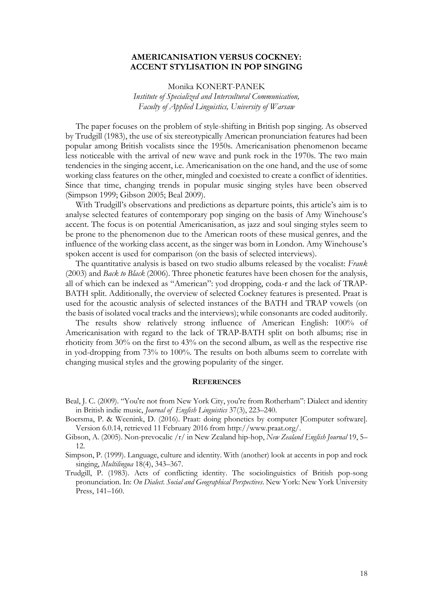#### **AMERICANISATION VERSUS COCKNEY: ACCENT STYLISATION IN POP SINGING**

Monika KONERT-PANEK

*Institute of Specialized and Intercultural Communication, Faculty of Applied Linguistics, University of Warsaw*

The paper focuses on the problem of style-shifting in British pop singing. As observed by Trudgill (1983), the use of six stereotypically American pronunciation features had been popular among British vocalists since the 1950s. Americanisation phenomenon became less noticeable with the arrival of new wave and punk rock in the 1970s. The two main tendencies in the singing accent, i.e. Americanisation on the one hand, and the use of some working class features on the other, mingled and coexisted to create a conflict of identities. Since that time, changing trends in popular music singing styles have been observed (Simpson 1999; Gibson 2005; Beal 2009).

With Trudgill's observations and predictions as departure points, this article's aim is to analyse selected features of contemporary pop singing on the basis of Amy Winehouse's accent. The focus is on potential Americanisation, as jazz and soul singing styles seem to be prone to the phenomenon due to the American roots of these musical genres, and the influence of the working class accent, as the singer was born in London. Amy Winehouse's spoken accent is used for comparison (on the basis of selected interviews).

The quantitative analysis is based on two studio albums released by the vocalist: *Frank* (2003) and *Back to Black* (2006). Three phonetic features have been chosen for the analysis, all of which can be indexed as "American": yod dropping, coda-r and the lack of TRAP-BATH split. Additionally, the overview of selected Cockney features is presented. Praat is used for the acoustic analysis of selected instances of the BATH and TRAP vowels (on the basis of isolated vocal tracks and the interviews); while consonants are coded auditorily.

The results show relatively strong influence of American English: 100% of Americanisation with regard to the lack of TRAP-BATH split on both albums; rise in rhoticity from 30% on the first to 43% on the second album, as well as the respective rise in yod-dropping from 73% to 100%. The results on both albums seem to correlate with changing musical styles and the growing popularity of the singer.

#### **REFERENCES**

- Beal, J. C. (2009). "You're not from New York City, you're from Rotherham": Dialect and identity in British indie music, *Journal of English Linguistics* 37(3), 223–240.
- Boersma, P. & Weenink, D. (2016). Praat: doing phonetics by computer [Computer software]. Version 6.0.14, retrieved 11 February 2016 from http://www.praat.org/.
- Gibson, A. (2005). Non-prevocalic /r/ in New Zealand hip-hop, *New Zealand English Journal* 19, 5– 12.
- Simpson, P. (1999). Language, culture and identity. With (another) look at accents in pop and rock singing, *Multilingua* 18(4), 343–367.
- Trudgill, P. (1983). Acts of conflicting identity. The sociolinguistics of British pop-song pronunciation. In: *On Dialect. Social and Geographical Perspectives*. New York: New York University Press, 141–160.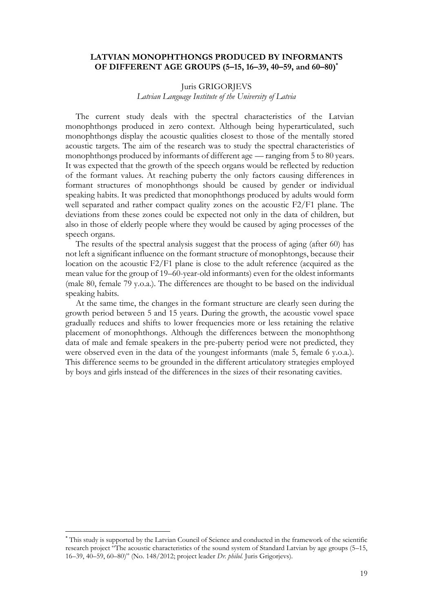#### **LATVIAN MONOPHTHONGS PRODUCED BY INFORMANTS OF DIFFERENT AGE GROUPS (5–15, 16–39, 40–59, and 60–80)\***

#### Juris GRIGORJEVS

*Latvian Language Institute of the University of Latvia*

The current study deals with the spectral characteristics of the Latvian monophthongs produced in zero context. Although being hyperarticulated, such monophthongs display the acoustic qualities closest to those of the mentally stored acoustic targets. The aim of the research was to study the spectral characteristics of monophthongs produced by informants of different age — ranging from 5 to 80 years. It was expected that the growth of the speech organs would be reflected by reduction of the formant values. At reaching puberty the only factors causing differences in formant structures of monophthongs should be caused by gender or individual speaking habits. It was predicted that monophthongs produced by adults would form well separated and rather compact quality zones on the acoustic F2/F1 plane. The deviations from these zones could be expected not only in the data of children, but also in those of elderly people where they would be caused by aging processes of the speech organs.

The results of the spectral analysis suggest that the process of aging (after 60) has not left a significant influence on the formant structure of monophtongs, because their location on the acoustic F2/F1 plane is close to the adult reference (acquired as the mean value for the group of 19–60-year-old informants) even for the oldest informants (male 80, female 79 y.o.a.). The differences are thought to be based on the individual speaking habits.

At the same time, the changes in the formant structure are clearly seen during the growth period between 5 and 15 years. During the growth, the acoustic vowel space gradually reduces and shifts to lower frequencies more or less retaining the relative placement of monophthongs. Although the differences between the monophthong data of male and female speakers in the pre-puberty period were not predicted, they were observed even in the data of the youngest informants (male 5, female 6 y.o.a.). This difference seems to be grounded in the different articulatory strategies employed by boys and girls instead of the differences in the sizes of their resonating cavities.

**.** 

<sup>\*</sup> This study is supported by the Latvian Council of Science and conducted in the framework of the scientific research project "The acoustic characteristics of the sound system of Standard Latvian by age groups (5–15, 16–39, 40–59, 60–80)" (No. 148/2012; project leader *Dr. philol.* Juris Grigorjevs).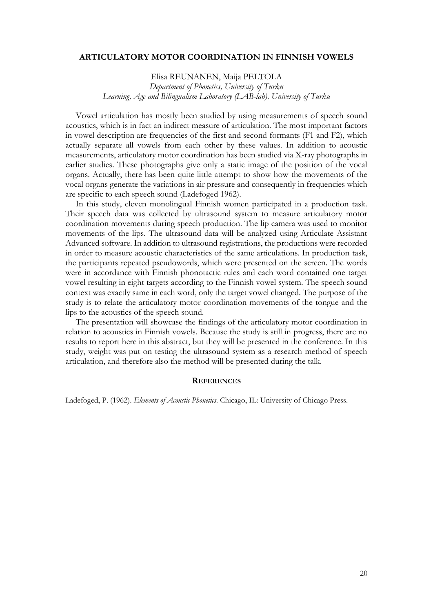#### **ARTICULATORY MOTOR COORDINATION IN FINNISH VOWELS**

Elisa REUNANEN, Maija PELTOLA *Department of Phonetics, University of Turku Learning, Age and Bilingualism Laboratory (LAB-lab), University of Turku*

Vowel articulation has mostly been studied by using measurements of speech sound acoustics, which is in fact an indirect measure of articulation. The most important factors in vowel description are frequencies of the first and second formants (F1 and F2), which actually separate all vowels from each other by these values. In addition to acoustic measurements, articulatory motor coordination has been studied via X-ray photographs in earlier studies. These photographs give only a static image of the position of the vocal organs. Actually, there has been quite little attempt to show how the movements of the vocal organs generate the variations in air pressure and consequently in frequencies which are specific to each speech sound (Ladefoged 1962).

In this study, eleven monolingual Finnish women participated in a production task. Their speech data was collected by ultrasound system to measure articulatory motor coordination movements during speech production. The lip camera was used to monitor movements of the lips. The ultrasound data will be analyzed using Articulate Assistant Advanced software. In addition to ultrasound registrations, the productions were recorded in order to measure acoustic characteristics of the same articulations. In production task, the participants repeated pseudowords, which were presented on the screen. The words were in accordance with Finnish phonotactic rules and each word contained one target vowel resulting in eight targets according to the Finnish vowel system. The speech sound context was exactly same in each word, only the target vowel changed. The purpose of the study is to relate the articulatory motor coordination movements of the tongue and the lips to the acoustics of the speech sound.

The presentation will showcase the findings of the articulatory motor coordination in relation to acoustics in Finnish vowels. Because the study is still in progress, there are no results to report here in this abstract, but they will be presented in the conference. In this study, weight was put on testing the ultrasound system as a research method of speech articulation, and therefore also the method will be presented during the talk.

#### **REFERENCES**

Ladefoged, P. (1962). *Elements of Acoustic Phonetics*. Chicago, IL: University of Chicago Press.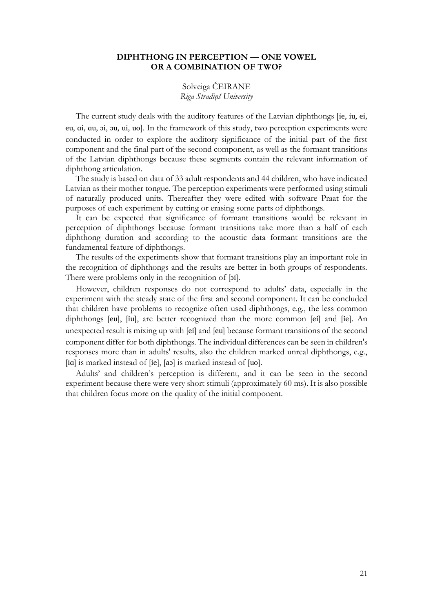#### **DIPHTHONG IN PERCEPTION — ONE VOWEL OR A COMBINATION OF TWO?**

Solveiga ČEIRANE *Riga Stradiņš University*

The current study deals with the auditory features of the Latvian diphthongs [ie, iu, ei, eu, ɑi, ɑu, ɔi, ɔu, ui, uo]. In the framework of this study, two perception experiments were conducted in order to explore the auditory significance of the initial part of the first component and the final part of the second component, as well as the formant transitions of the Latvian diphthongs because these segments contain the relevant information of diphthong articulation.

The study is based on data of 33 adult respondents and 44 children, who have indicated Latvian as their mother tongue. The perception experiments were performed using stimuli of naturally produced units. Thereafter they were edited with software Praat for the purposes of each experiment by cutting or erasing some parts of diphthongs.

It can be expected that significance of formant transitions would be relevant in perception of diphthongs because formant transitions take more than a half of each diphthong duration and according to the acoustic data formant transitions are the fundamental feature of diphthongs.

The results of the experiments show that formant transitions play an important role in the recognition of diphthongs and the results are better in both groups of respondents. There were problems only in the recognition of [pi].

However, children responses do not correspond to adults' data, especially in the experiment with the steady state of the first and second component. It can be concluded that children have problems to recognize often used diphthongs, e.g., the less common diphthongs [eu], [iu], are better recognized than the more common [ei] and [ie]. An unexpected result is mixing up with [ei] and [eu] because formant transitions of the second component differ for both diphthongs. The individual differences can be seen in children's responses more than in adults' results, also the children marked unreal diphthongs, e.g., [ia] is marked instead of [ie], [aɔ] is marked instead of [uo].

Adults' and children's perception is different, and it can be seen in the second experiment because there were very short stimuli (approximately 60 ms). It is also possible that children focus more on the quality of the initial component.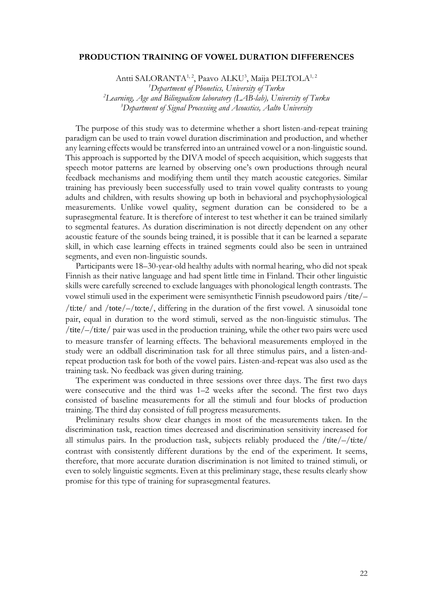#### **PRODUCTION TRAINING OF VOWEL DURATION DIFFERENCES**

Antti SALORANTA<sup>1, 2</sup>, Paavo ALKU<sup>3</sup>, Maija PELTOLA<sup>1, 2</sup>

*<sup>1</sup>Department of Phonetics, University of Turku <sup>2</sup>Learning, Age and Bilingualism laboratory (LAB-lab), University of Turku <sup>3</sup>Department of Signal Processing and Acoustics, Aalto University*

The purpose of this study was to determine whether a short listen-and-repeat training paradigm can be used to train vowel duration discrimination and production, and whether any learning effects would be transferred into an untrained vowel or a non-linguistic sound. This approach is supported by the DIVA model of speech acquisition, which suggests that speech motor patterns are learned by observing one's own productions through neural feedback mechanisms and modifying them until they match acoustic categories. Similar training has previously been successfully used to train vowel quality contrasts to young adults and children, with results showing up both in behavioral and psychophysiological measurements. Unlike vowel quality, segment duration can be considered to be a suprasegmental feature. It is therefore of interest to test whether it can be trained similarly to segmental features. As duration discrimination is not directly dependent on any other acoustic feature of the sounds being trained, it is possible that it can be learned a separate skill, in which case learning effects in trained segments could also be seen in untrained segments, and even non-linguistic sounds.

Participants were 18–30-year-old healthy adults with normal hearing, who did not speak Finnish as their native language and had spent little time in Finland. Their other linguistic skills were carefully screened to exclude languages with phonological length contrasts. The vowel stimuli used in the experiment were semisynthetic Finnish pseudoword pairs /tite/– /ti:te/ and /tote/–/to:te/, differing in the duration of the first vowel. A sinusoidal tone pair, equal in duration to the word stimuli, served as the non-linguistic stimulus. The /tite/–/ti:te/ pair was used in the production training, while the other two pairs were used to measure transfer of learning effects. The behavioral measurements employed in the study were an oddball discrimination task for all three stimulus pairs, and a listen-andrepeat production task for both of the vowel pairs. Listen-and-repeat was also used as the training task. No feedback was given during training.

The experiment was conducted in three sessions over three days. The first two days were consecutive and the third was 1–2 weeks after the second. The first two days consisted of baseline measurements for all the stimuli and four blocks of production training. The third day consisted of full progress measurements.

Preliminary results show clear changes in most of the measurements taken. In the discrimination task, reaction times decreased and discrimination sensitivity increased for all stimulus pairs. In the production task, subjects reliably produced the  $/$ tite $/$ –/tite $/$ contrast with consistently different durations by the end of the experiment. It seems, therefore, that more accurate duration discrimination is not limited to trained stimuli, or even to solely linguistic segments. Even at this preliminary stage, these results clearly show promise for this type of training for suprasegmental features.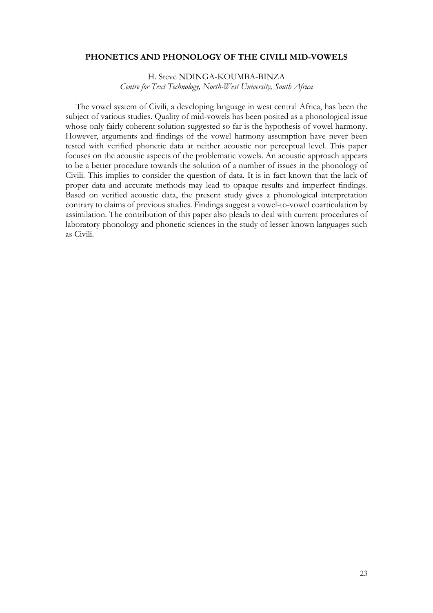#### **PHONETICS AND PHONOLOGY OF THE CIVILI MID-VOWELS**

H. Steve NDINGA-KOUMBA-BINZA *Centre for Text Technology, North-West University, South Africa*

The vowel system of Civili, a developing language in west central Africa, has been the subject of various studies. Quality of mid-vowels has been posited as a phonological issue whose only fairly coherent solution suggested so far is the hypothesis of vowel harmony. However, arguments and findings of the vowel harmony assumption have never been tested with verified phonetic data at neither acoustic nor perceptual level. This paper focuses on the acoustic aspects of the problematic vowels. An acoustic approach appears to be a better procedure towards the solution of a number of issues in the phonology of Civili. This implies to consider the question of data. It is in fact known that the lack of proper data and accurate methods may lead to opaque results and imperfect findings. Based on verified acoustic data, the present study gives a phonological interpretation contrary to claims of previous studies. Findings suggest a vowel-to-vowel coarticulation by assimilation. The contribution of this paper also pleads to deal with current procedures of laboratory phonology and phonetic sciences in the study of lesser known languages such as Civili.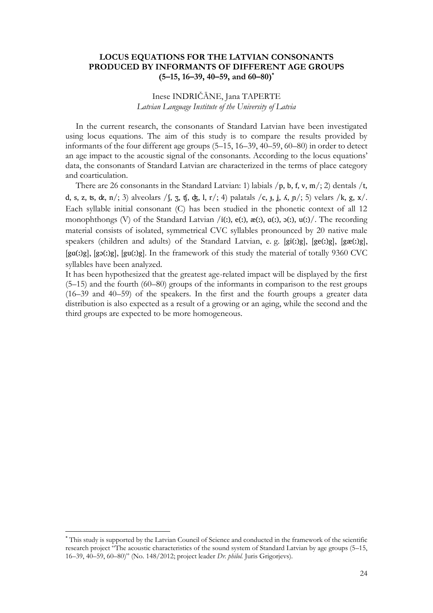### **LOCUS EQUATIONS FOR THE LATVIAN CONSONANTS PRODUCED BY INFORMANTS OF DIFFERENT AGE GROUPS (5–15, 16–39, 40–59, and 60–80)\***

## Inese INDRIČĀNE, Jana TAPERTE *Latvian Language Institute of the University of Latvia*

In the current research, the consonants of Standard Latvian have been investigated using locus equations. The aim of this study is to compare the results provided by informants of the four different age groups (5–15, 16–39, 40–59, 60–80) in order to detect an age impact to the acoustic signal of the consonants. According to the locus equations' data, the consonants of Standard Latvian are characterized in the terms of place category and coarticulation.

There are 26 consonants in the Standard Latvian: 1) labials  $/p$ , b, f, v, m/; 2) dentals  $/t$ , d, s, z, ts,  $\alpha$ , n/; 3) alveolars / f, z, tf,  $\alpha$ , l, r/; 4) palatals / c,  $\alpha$ ,  $\beta$ ,  $\alpha$ ,  $\beta$ ,  $\beta$  velars /k,  $\alpha$ ,  $\alpha$ /. Each syllable initial consonant (C) has been studied in the phonetic context of all 12 monophthongs (V) of the Standard Latvian /i(:),  $e($ :),  $\alpha$ (:),  $\alpha$ (:),  $\alpha$ (:),  $\alpha$ (:)/. The recording material consists of isolated, symmetrical CVC syllables pronounced by 20 native male speakers (children and adults) of the Standard Latvian, e. g. [gi(:)g], [ge(:)g], [gæ(:)g], [gɑ(ː)g], [gɔ(ː)g], [gu(ː)g]. In the framework of this study the material of totally 9360 CVC syllables have been analyzed.

It has been hypothesized that the greatest age-related impact will be displayed by the first (5–15) and the fourth (60–80) groups of the informants in comparison to the rest groups (16–39 and 40–59) of the speakers. In the first and the fourth groups a greater data distribution is also expected as a result of a growing or an aging, while the second and the third groups are expected to be more homogeneous.

**.** 

<sup>\*</sup> This study is supported by the Latvian Council of Science and conducted in the framework of the scientific research project "The acoustic characteristics of the sound system of Standard Latvian by age groups (5–15, 16–39, 40–59, 60–80)" (No. 148/2012; project leader *Dr. philol.* Juris Grigorjevs).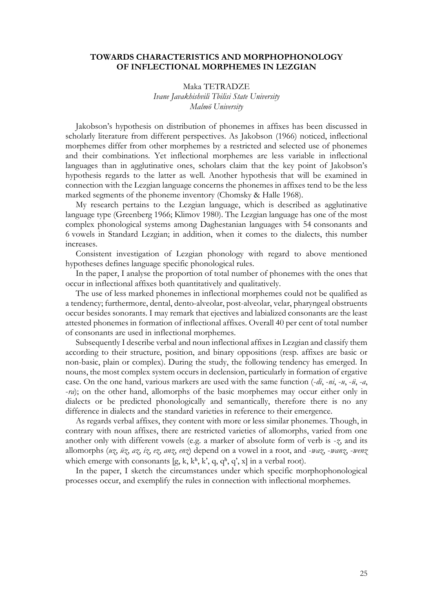#### **TOWARDS CHARACTERISTICS AND MORPHOPHONOLOGY OF INFLECTIONAL MORPHEMES IN LEZGIAN**

Maka TETRADZE *Ivane Javakhishvili Tbilisi State University Malmö University*

Jakobson's hypothesis on distribution of phonemes in affixes has been discussed in scholarly literature from different perspectives. As Jakobson (1966) noticed, inflectional morphemes differ from other morphemes by a restricted and selected use of phonemes and their combinations. Yet inflectional morphemes are less variable in inflectional languages than in agglutinative ones, scholars claim that the key point of Jakobson's hypothesis regards to the latter as well. Another hypothesis that will be examined in connection with the Lezgian language concerns the phonemes in affixes tend to be the less marked segments of the phoneme inventory (Chomsky & Halle 1968).

My research pertains to the Lezgian language, which is described as agglutinative language type (Greenberg 1966; Klimov 1980). The Lezgian language has one of the most complex phonological systems among Daghestanian languages with 54 consonants and 6 vowels in Standard Lezgian; in addition, when it comes to the dialects, this number increases.

Consistent investigation of Lezgian phonology with regard to above mentioned hypotheses defines language specific phonological rules.

In the paper, I analyse the proportion of total number of phonemes with the ones that occur in inflectional affixes both quantitatively and qualitatively.

The use of less marked phonemes in inflectional morphemes could not be qualified as a tendency; furthermore, dental, dento-alveolar, post-alveolar, velar, pharyngeal obstruents occur besides sonorants. I may remark that ejectives and labialized consonants are the least attested phonemes in formation of inflectional affixes. Overall 40 per cent of total number of consonants are used in inflectional morphemes.

Subsequently I describe verbal and noun inflectional affixes in Lezgian and classify them according to their structure, position, and binary oppositions (resp. affixes are basic or non-basic, plain or complex). During the study, the following tendency has emerged. In nouns, the most complex system occurs in declension, particularly in formation of ergative case. On the one hand, various markers are used with the same function (-*di*, -*ni*, -*u*, -*ü*, -*a*, -*ra*); on the other hand, allomorphs of the basic morphemes may occur either only in dialects or be predicted phonologically and semantically, therefore there is no any difference in dialects and the standard varieties in reference to their emergence.

As regards verbal affixes, they content with more or less similar phonemes. Though, in contrary with noun affixes, there are restricted varieties of allomorphs, varied from one another only with different vowels (e.g. a marker of absolute form of verb is -*z*, and its allomorphs (*uz*, *üz*, *az*, *iz*, *ez*, *anz*, *enz*) depend on a vowel in a root, and -*waz*, -*wanz*, -*wenz* which emerge with consonants  $[g, k, k^h, k^h, q, q^h, q^h, x]$  in a verbal root).

In the paper, I sketch the circumstances under which specific morphophonological processes occur, and exemplify the rules in connection with inflectional morphemes.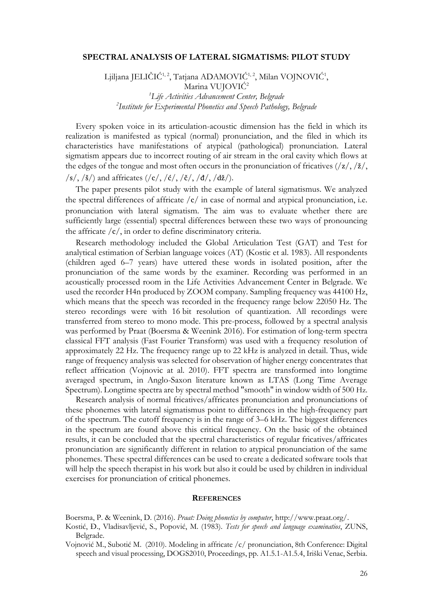#### **SPECTRAL ANALYSIS OF LATERAL SIGMATISMS: PILOT STUDY**

Ljiljana JELIČIĆ<sup>1,2</sup>, Tatjana ADAMOVIĆ<sup>1,2</sup>, Milan VOJNOVIĆ<sup>1</sup>, Marina VUJOVIĆ<sup>2</sup> *<sup>1</sup>Life Activities Advancement Center, Belgrade 2 Institute for Experimental Phonetics and Speech Pathology, Belgrade*

Every spoken voice in its articulation-acoustic dimension has the field in which its realization is manifested as typical (normal) pronunciation, and the filed in which its characteristics have manifestations of atypical (pathological) pronunciation. Lateral sigmatism appears due to incorrect routing of air stream in the oral cavity which flows at the edges of the tongue and most often occurs in the pronunciation of fricatives  $\frac{1}{z}, \frac{z}{\ldots}$  $\sqrt{s}/\sqrt{s}/\sqrt{s}$  and affricates  $(\sqrt{c}/\sqrt{c}/\sqrt{s}/\sqrt{d}/\sqrt{s})$ .

The paper presents pilot study with the example of lateral sigmatismus. We analyzed the spectral differences of affricate  $/c/$  in case of normal and atypical pronunciation, i.e. pronunciation with lateral sigmatism. The aim was to evaluate whether there are sufficiently large (essential) spectral differences between these two ways of pronouncing the affricate /c/, in order to define discriminatory criteria.

Research methodology included the Global Articulation Test (GAT) and Test for analytical estimation of Serbian language voices (AT) (Kostic et al. 1983). All respondents (children aged 6–7 years) have uttered these words in isolated position, after the pronunciation of the same words by the examiner. Recording was performed in an acoustically processed room in the Life Activities Advancement Center in Belgrade. We used the recorder H4n produced by ZOOM company. Sampling frequency was 44100 Hz, which means that the speech was recorded in the frequency range below 22050 Hz. The stereo recordings were with 16 bit resolution of quantization. All recordings were transferred from stereo to mono mode. This pre-process, followed by a spectral analysis was performed by Praat (Boersma & Weenink 2016). For estimation of long-term spectra classical FFT analysis (Fast Fourier Transform) was used with a frequency resolution of approximately 22 Hz. The frequency range up to 22 kHz is analyzed in detail. Thus, wide range of frequency analysis was selected for observation of higher energy concentrates that reflect affrication (Vojnovic at al. 2010). FFT spectra are transformed into longtime averaged spectrum, in Anglo-Saxon literature known as LTAS (Long Time Average Spectrum). Longtime spectra are by spectral method "smooth" in window width of 500 Hz.

Research analysis of normal fricatives/affricates pronunciation and pronunciations of these phonemes with lateral sigmatismus point to differences in the high-frequency part of the spectrum. The cutoff frequency is in the range of 3–6 kHz. The biggest differences in the spectrum are found above this critical frequency. On the basic of the obtained results, it can be concluded that the spectral characteristics of regular fricatives/affricates pronunciation are significantly different in relation to atypical pronunciation of the same phonemes. These spectral differences can be used to create a dedicated software tools that will help the speech therapist in his work but also it could be used by children in individual exercises for pronunciation of critical phonemes.

#### **REFERENCES**

Boersma, P. & Weenink, D. (2016). *Praat: Doing phonetics by computer*, http://www.praat.org/.

Kostić, Đ., Vladisavljević, S., Popović, M. (1983). *Tests for speech and language examinatios*, ZUNS, Belgrade.

Vojnović M., Subotić M. (2010). Modeling in affricate /c/ pronunciation, 8th Conference: Digital speech and visual processing, DOGS2010, Proceedings, pp. A1.5.1-A1.5.4, Iriški Venac, Serbia.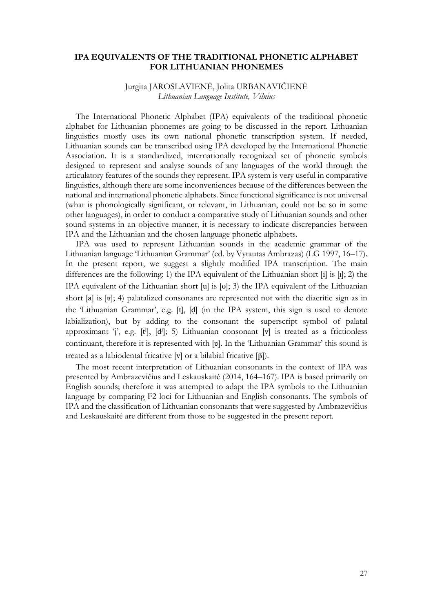### **IPA EQUIVALENTS OF THE TRADITIONAL PHONETIC ALPHABET FOR LITHUANIAN PHONEMES**

## Jurgita JAROSLAVIENĖ, Jolita URBANAVIČIENĖ *Lithuanian Language Institute, Vilnius*

The International Phonetic Alphabet (IPA) equivalents of the traditional phonetic alphabet for Lithuanian phonemes are going to be discussed in the report. Lithuanian linguistics mostly uses its own national phonetic transcription system. If needed, Lithuanian sounds can be transcribed using IPA developed by the International Phonetic Association. It is a standardized, internationally recognized set of phonetic symbols designed to represent and analyse sounds of any languages of the world through the articulatory features of the sounds they represent. IPA system is very useful in comparative linguistics, although there are some inconveniences because of the differences between the national and international phonetic alphabets. Since functional significance is not universal (what is phonologically significant, or relevant, in Lithuanian, could not be so in some other languages), in order to conduct a comparative study of Lithuanian sounds and other sound systems in an objective manner, it is necessary to indicate discrepancies between IPA and the Lithuanian and the chosen language phonetic alphabets.

IPA was used to represent Lithuanian sounds in the academic grammar of the Lithuanian language 'Lithuanian Grammar' (ed. by Vytautas Ambrazas) (LG 1997, 16–17). In the present report, we suggest a slightly modified IPA transcription. The main differences are the following: 1) the IPA equivalent of the Lithuanian short [i] is [ɪ]; 2) the IPA equivalent of the Lithuanian short [u] is [ʊ]; 3) the IPA equivalent of the Lithuanian short [a] is [ɐ]; 4) palatalized consonants are represented not with the diacritic sign as in the 'Lithuanian Grammar', e.g. [t], [d] (in the IPA system, this sign is used to denote labialization), but by adding to the consonant the superscript symbol of palatal approximant 'j', e.g. [tʲ], [dʲ]; 5) Lithuanian consonant [v] is treated as a frictionless continuant, therefore it is represented with [ʋ]. In the 'Lithuanian Grammar' this sound is treated as a labiodental fricative [v] or a bilabial fricative [β]).

The most recent interpretation of Lithuanian consonants in the context of IPA was presented by Ambrazevičius and Leskauskaitė (2014, 164–167). IPA is based primarily on English sounds; therefore it was attempted to adapt the IPA symbols to the Lithuanian language by comparing F2 loci for Lithuanian and English consonants. The symbols of IPA and the classification of Lithuanian consonants that were suggested by Ambrazevičius and Leskauskaitė are different from those to be suggested in the present report.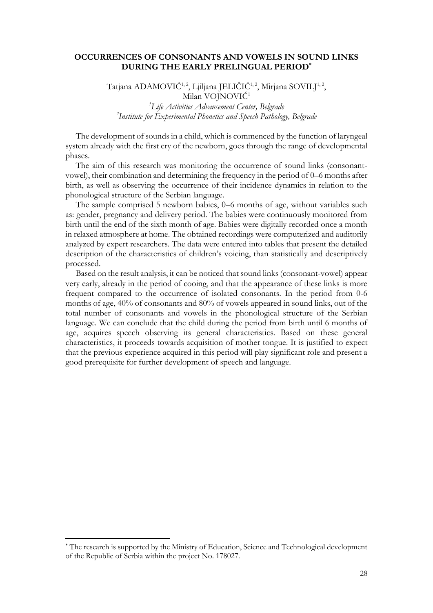#### **OCCURRENCES OF CONSONANTS AND VOWELS IN SOUND LINKS DURING THE EARLY PRELINGUAL PERIOD\***

Tatjana ADAMOVIĆ $^{1,2}$ , Ljiljana JELIČIĆ $^{1,2}$ , Mirjana SOVILJ $^{1,2}$ , Milan VOJNOVIĆ<sup>1</sup> *<sup>1</sup>Life Activities Advancement Center, Belgrade 2 Institute for Experimental Phonetics and Speech Pathology, Belgrade*

The development of sounds in a child, which is commenced by the function of laryngeal system already with the first cry of the newborn, goes through the range of developmental phases.

The aim of this research was monitoring the occurrence of sound links (consonantvowel), their combination and determining the frequency in the period of 0–6 months after birth, as well as observing the occurrence of their incidence dynamics in relation to the phonological structure of the Serbian language.

The sample comprised 5 newborn babies, 0–6 months of age, without variables such as: gender, pregnancy and delivery period. The babies were continuously monitored from birth until the end of the sixth month of age. Babies were digitally recorded once a month in relaxed atmosphere at home. The obtained recordings were computerized and auditorily analyzed by expert researchers. The data were entered into tables that present the detailed description of the characteristics of children's voicing, than statistically and descriptively processed.

Based on the result analysis, it can be noticed that sound links (consonant-vowel) appear very early, already in the period of cooing, and that the appearance of these links is more frequent compared to the occurrence of isolated consonants. In the period from 0-6 months of age, 40% of consonants and 80% of vowels appeared in sound links, out of the total number of consonants and vowels in the phonological structure of the Serbian language. We can conclude that the child during the period from birth until 6 months of age, acquires speech observing its general characteristics. Based on these general characteristics, it proceeds towards acquisition of mother tongue. It is justified to expect that the previous experience acquired in this period will play significant role and present a good prerequisite for further development of speech and language.

 $\overline{a}$ 

<sup>\*</sup> The research is supported by the Ministry of Education, Science and Technological development of the Republic of Serbia within the project No. 178027.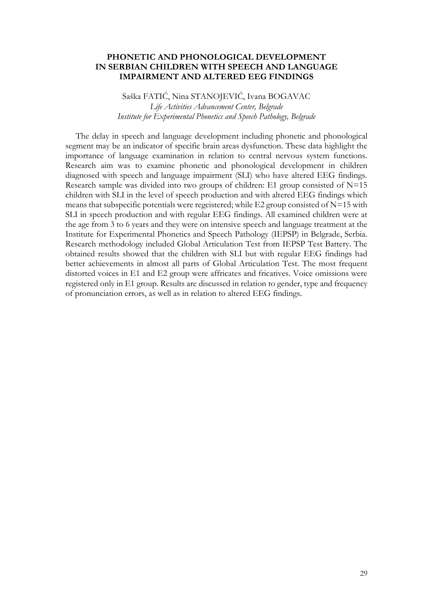### **PHONETIC AND PHONOLOGICAL DEVELOPMENT IN SERBIAN CHILDREN WITH SPEECH AND LANGUAGE IMPAIRMENT AND ALTERED EEG FINDINGS**

Saška FATIĆ, Nina STANOJEVIĆ, Ivana BOGAVAC *Life Activities Advancement Center, Belgrade Institute for Experimental Phonetics and Speech Pathology, Belgrade*

The delay in speech and language development including phonetic and phonological segment may be an indicator of specific brain areas dysfunction. These data highlight the importance of language examination in relation to central nervous system functions. Research aim was to examine phonetic and phonological development in children diagnosed with speech and language impairment (SLI) who have altered EEG findings. Research sample was divided into two groups of children: E1 group consisted of  $N=15$ children with SLI in the level of speech production and with altered EEG findings which means that subspecific potentials were regeistered; while E2 group consisted of  $N=15$  with SLI in speech production and with regular EEG findings. All examined children were at the age from 3 to 6 years and they were on intensive speech and language treatment at the Institute for Experimental Phonetics and Speech Pathology (IEPSP) in Belgrade, Serbia. Research methodology included Global Articulation Test from IEPSP Test Battery. The obtained results showed that the children with SLI but with regular EEG findings had better achievements in almost all parts of Global Articulation Test. The most frequent distorted voices in E1 and E2 group were affricates and fricatives. Voice omissions were registered only in E1 group. Results are discussed in relation to gender, type and frequency of pronunciation errors, as well as in relation to altered EEG findings.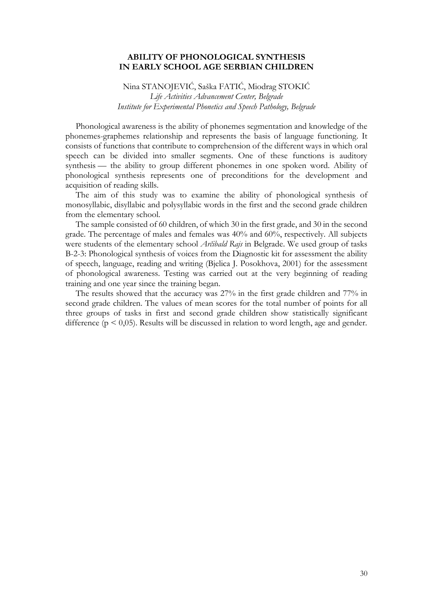#### **ABILITY OF PHONOLOGICAL SYNTHESIS IN EARLY SCHOOL AGE SERBIAN CHILDREN**

Nina STANOJEVIĆ, Saška FATIĆ, Miodrag STOKIĆ *Life Activities Advancement Center, Belgrade Institute for Experimental Phonetics and Speech Pathology, Belgrade*

Phonological awareness is the ability of phonemes segmentation and knowledge of the phonemes-graphemes relationship and represents the basis of language functioning. It consists of functions that contribute to comprehension of the different ways in which oral speech can be divided into smaller segments. One of these functions is auditory synthesis — the ability to group different phonemes in one spoken word. Ability of phonological synthesis represents one of preconditions for the development and acquisition of reading skills.

The aim of this study was to examine the ability of phonological synthesis of monosyllabic, disyllabic and polysyllabic words in the first and the second grade children from the elementary school.

The sample consisted of 60 children, of which 30 in the first grade, and 30 in the second grade. The percentage of males and females was 40% and 60%, respectively. All subjects were students of the elementary school *Arčibald Rajs* in Belgrade. We used group of tasks B-2-3: Phonological synthesis of voices from the Diagnostic kit for assessment the ability of speech, language, reading and writing (Bjelica J. Posokhova, 2001) for the assessment of phonological awareness. Testing was carried out at the very beginning of reading training and one year since the training began.

The results showed that the accuracy was 27% in the first grade children and 77% in second grade children. The values of mean scores for the total number of points for all three groups of tasks in first and second grade children show statistically significant difference ( $p \le 0.05$ ). Results will be discussed in relation to word length, age and gender.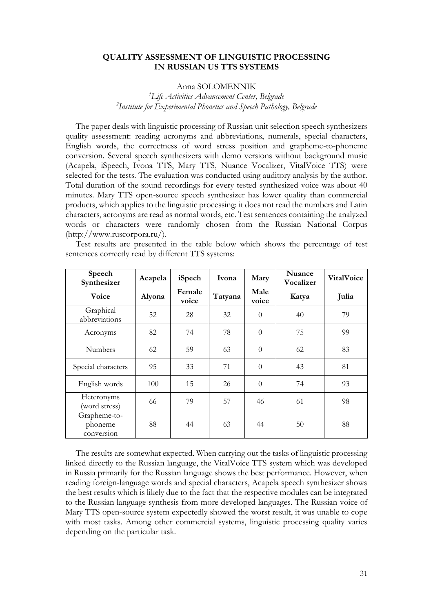#### **QUALITY ASSESSMENT OF LINGUISTIC PROCESSING IN RUSSIAN US TTS SYSTEMS**

### Anna SOLOMENNIK

*<sup>1</sup>Life Activities Advancement Center, Belgrade 2 Institute for Experimental Phonetics and Speech Pathology, Belgrade*

The paper deals with linguistic processing of Russian unit selection speech synthesizers quality assessment: reading acronyms and abbreviations, numerals, special characters, English words, the correctness of word stress position and grapheme-to-phoneme conversion. Several speech synthesizers with demo versions without background music (Acapela, iSpeech, Ivona TTS, Mary TTS, Nuance Vocalizer, VitalVoice TTS) were selected for the tests. The evaluation was conducted using auditory analysis by the author. Total duration of the sound recordings for every tested synthesized voice was about 40 minutes. Mary TTS open-source speech synthesizer has lower quality than commercial products, which applies to the linguistic processing: it does not read the numbers and Latin characters, acronyms are read as normal words, etc. Test sentences containing the analyzed words or characters were randomly chosen from the Russian National Corpus (http://www.ruscorpora.ru/).

| Speech<br>Synthesizer                 | Acapela | iSpech          | Ivona   | Mary          | <b>Nuance</b><br>Vocalizer | <b>VitalVoice</b> |
|---------------------------------------|---------|-----------------|---------|---------------|----------------------------|-------------------|
| Voice                                 | Alyona  | Female<br>voice | Tatyana | Male<br>voice | Katya                      | Julia             |
| Graphical<br>abbreviations            | 52      | 28              | 32      | $\theta$      | 40                         | 79                |
| Acronyms                              | 82      | 74              | 78      | $\theta$      | 75                         | 99                |
| <b>Numbers</b>                        | 62      | 59              | 63      | $\theta$      | 62                         | 83                |
| Special characters                    | 95      | 33              | 71      | $\theta$      | 43                         | 81                |
| English words                         | 100     | 15              | 26      | $\theta$      | 74                         | 93                |
| <b>Heteronyms</b><br>(word stress)    | 66      | 79              | 57      | 46            | 61                         | 98                |
| Grapheme-to-<br>phoneme<br>conversion | 88      | 44              | 63      | 44            | 50                         | 88                |

Test results are presented in the table below which shows the percentage of test sentences correctly read by different TTS systems:

The results are somewhat expected. When carrying out the tasks of linguistic processing linked directly to the Russian language, the VitalVoice TTS system which was developed in Russia primarily for the Russian language shows the best performance. However, when reading foreign-language words and special characters, Acapela speech synthesizer shows the best results which is likely due to the fact that the respective modules can be integrated to the Russian language synthesis from more developed languages. The Russian voice of Mary TTS open-source system expectedly showed the worst result, it was unable to cope with most tasks. Among other commercial systems, linguistic processing quality varies depending on the particular task.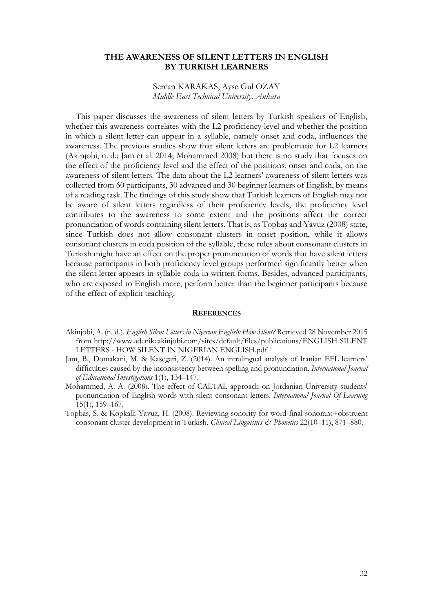#### **THE AWARENESS OF SILENT LETTERS IN ENGLISH BY TURKISH LEARNERS**

#### Sercan KARAKAS, Ayse Gul OZAY *Middle East Technical University, Ankara*

This paper discusses the awareness of silent letters by Turkish speakers of English, whether this awareness correlates with the L2 proficiency level and whether the position in which a silent letter can appear in a syllable, namely onset and coda, influences the awareness. The previous studies show that silent letters are problematic for L2 learners (Akinjobi, n. d.; Jam et al. 2014; Mohammed 2008) but there is no study that focuses on the effect of the proficiency level and the effect of the positions, onset and coda, on the awareness of silent letters. The data about the L2 learners' awareness of silent letters was collected from 60 participants, 30 advanced and 30 beginner learners of English, by means of a reading task. The findings of this study show that Turkish learners of English may not be aware of silent letters regardless of their proficiency levels, the proficiency level contributes to the awareness to some extent and the positions affect the correct pronunciation of words containing silent letters. That is, as Topbaş and Yavuz (2008) state, since Turkish does not allow consonant clusters in onset position, while it allows consonant clusters in coda position of the syllable, these rules about consonant clusters in Turkish might have an effect on the proper pronunciation of words that have silent letters because participants in both proficiency level groups performed significantly better when the silent letter appears in syllable coda in written forms. Besides, advanced participants, who are exposed to English more, perform better than the beginner participants because of the effect of explicit teaching.

#### **REFERENCES**

- Akinjobi, A. (n. d.). *English Silent Letters in Nigerian English: How Silent?* Retrieved 28 November 2015 from http://www.adenikeakinjobi.com/sites/default/files/publications/ENGLISH SILENT LETTERS - HOW SILENT IN NIGERIAN ENGLISH.pdf
- Jam, B., Domakani, M. & Kasegari, Z. (2014). An intralingual analysis of Iranian EFL learners' difficulties caused by the inconsistency between spelling and pronunciation. *International Journal of Educational Investigations* 1(1), 134–147.
- Mohammed, A. A. (2008). The effect of CALTAL approach on Jordanian University students' pronunciation of English words with silent consonant letters. *International Journal Of Learning* 15(1), 159–167.
- Topbas, S. & Kopkalli-Yavuz, H. (2008). Reviewing sonority for word-final sonorant+obstruent consonant cluster development in Turkish. *Clinical Linguistics & Phonetics* 22(10–11), 871–880.